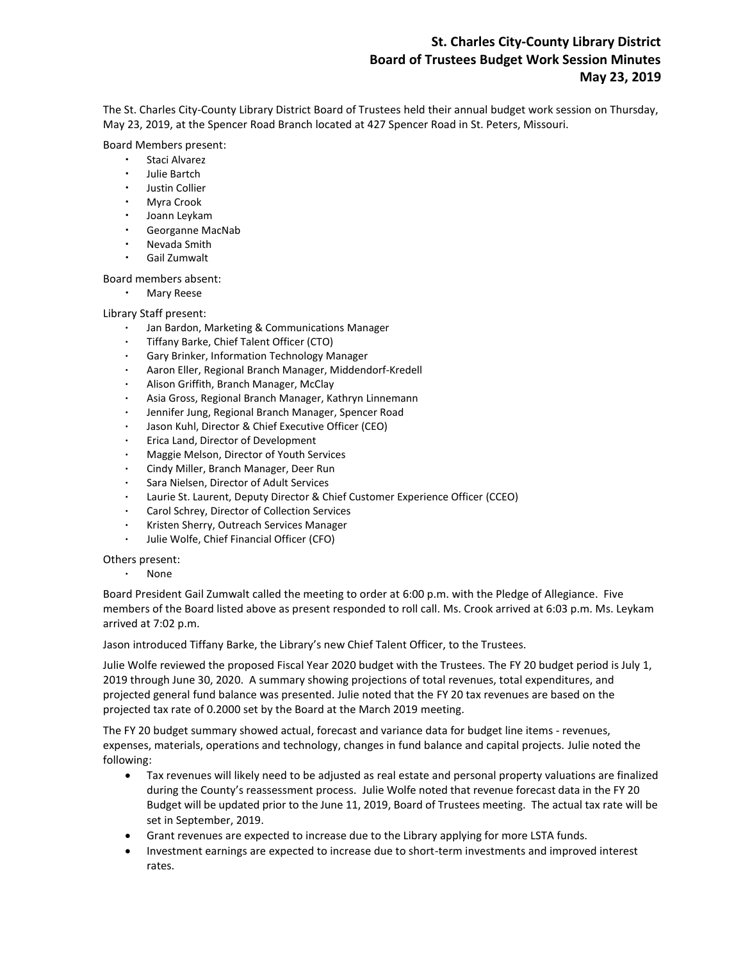# **St. Charles City-County Library District Board of Trustees Budget Work Session Minutes May 23, 2019**

The St. Charles City-County Library District Board of Trustees held their annual budget work session on Thursday, May 23, 2019, at the Spencer Road Branch located at 427 Spencer Road in St. Peters, Missouri.

#### Board Members present:

- Staci Alvarez
- Julie Bartch
- Justin Collier
- Myra Crook
- Joann Leykam
- Georganne MacNab
- Nevada Smith
- Gail Zumwalt

## Board members absent:

Mary Reese

## Library Staff present:

- Jan Bardon, Marketing & Communications Manager
- Tiffany Barke, Chief Talent Officer (CTO)
- Gary Brinker, Information Technology Manager
- Aaron Eller, Regional Branch Manager, Middendorf-Kredell
- Alison Griffith, Branch Manager, McClay
- Asia Gross, Regional Branch Manager, Kathryn Linnemann
- Jennifer Jung, Regional Branch Manager, Spencer Road
- Jason Kuhl, Director & Chief Executive Officer (CEO)
- Erica Land, Director of Development
- Maggie Melson, Director of Youth Services
- Cindy Miller, Branch Manager, Deer Run
- Sara Nielsen, Director of Adult Services
- Laurie St. Laurent, Deputy Director & Chief Customer Experience Officer (CCEO)
- Carol Schrey, Director of Collection Services
- Kristen Sherry, Outreach Services Manager
- Julie Wolfe, Chief Financial Officer (CFO)

## Others present:

None

Board President Gail Zumwalt called the meeting to order at 6:00 p.m. with the Pledge of Allegiance. Five members of the Board listed above as present responded to roll call. Ms. Crook arrived at 6:03 p.m. Ms. Leykam arrived at 7:02 p.m.

Jason introduced Tiffany Barke, the Library's new Chief Talent Officer, to the Trustees.

Julie Wolfe reviewed the proposed Fiscal Year 2020 budget with the Trustees. The FY 20 budget period is July 1, 2019 through June 30, 2020. A summary showing projections of total revenues, total expenditures, and projected general fund balance was presented. Julie noted that the FY 20 tax revenues are based on the projected tax rate of 0.2000 set by the Board at the March 2019 meeting.

The FY 20 budget summary showed actual, forecast and variance data for budget line items - revenues, expenses, materials, operations and technology, changes in fund balance and capital projects. Julie noted the following:

- Tax revenues will likely need to be adjusted as real estate and personal property valuations are finalized during the County's reassessment process. Julie Wolfe noted that revenue forecast data in the FY 20 Budget will be updated prior to the June 11, 2019, Board of Trustees meeting. The actual tax rate will be set in September, 2019.
- Grant revenues are expected to increase due to the Library applying for more LSTA funds.
- Investment earnings are expected to increase due to short-term investments and improved interest rates.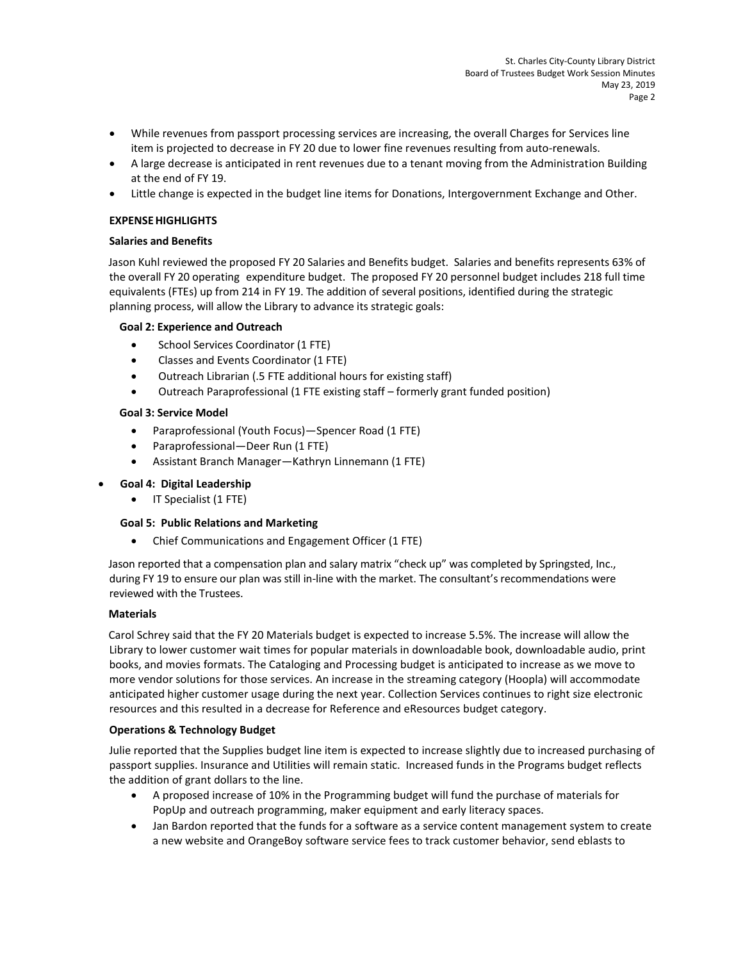- While revenues from passport processing services are increasing, the overall Charges for Services line item is projected to decrease in FY 20 due to lower fine revenues resulting from auto-renewals.
- A large decrease is anticipated in rent revenues due to a tenant moving from the Administration Building at the end of FY 19.
- Little change is expected in the budget line items for Donations, Intergovernment Exchange and Other.

#### **EXPENSEHIGHLIGHTS**

#### **Salaries and Benefits**

Jason Kuhl reviewed the proposed FY 20 Salaries and Benefits budget. Salaries and benefits represents 63% of the overall FY 20 operating expenditure budget. The proposed FY 20 personnel budget includes 218 full time equivalents (FTEs) up from 214 in FY 19. The addition of several positions, identified during the strategic planning process, will allow the Library to advance its strategic goals:

#### **Goal 2: Experience and Outreach**

- School Services Coordinator (1 FTE)
- Classes and Events Coordinator (1 FTE)
- Outreach Librarian (.5 FTE additional hours for existing staff)
- Outreach Paraprofessional (1 FTE existing staff formerly grant funded position)

#### **Goal 3: Service Model**

- Paraprofessional (Youth Focus)—Spencer Road (1 FTE)
- Paraprofessional—Deer Run (1 FTE)
- Assistant Branch Manager—Kathryn Linnemann (1 FTE)

## **Goal 4: Digital Leadership**

• IT Specialist (1 FTE)

## **Goal 5: Public Relations and Marketing**

Chief Communications and Engagement Officer (1 FTE)

Jason reported that a compensation plan and salary matrix "check up" was completed by Springsted, Inc., during FY 19 to ensure our plan was still in-line with the market. The consultant's recommendations were reviewed with the Trustees.

## **Materials**

Carol Schrey said that the FY 20 Materials budget is expected to increase 5.5%. The increase will allow the Library to lower customer wait times for popular materials in downloadable book, downloadable audio, print books, and movies formats. The Cataloging and Processing budget is anticipated to increase as we move to more vendor solutions for those services. An increase in the streaming category (Hoopla) will accommodate anticipated higher customer usage during the next year. Collection Services continues to right size electronic resources and this resulted in a decrease for Reference and eResources budget category.

## **Operations & Technology Budget**

Julie reported that the Supplies budget line item is expected to increase slightly due to increased purchasing of passport supplies. Insurance and Utilities will remain static. Increased funds in the Programs budget reflects the addition of grant dollars to the line.

- A proposed increase of 10% in the Programming budget will fund the purchase of materials for PopUp and outreach programming, maker equipment and early literacy spaces.
- Jan Bardon reported that the funds for a software as a service content management system to create a new website and OrangeBoy software service fees to track customer behavior, send eblasts to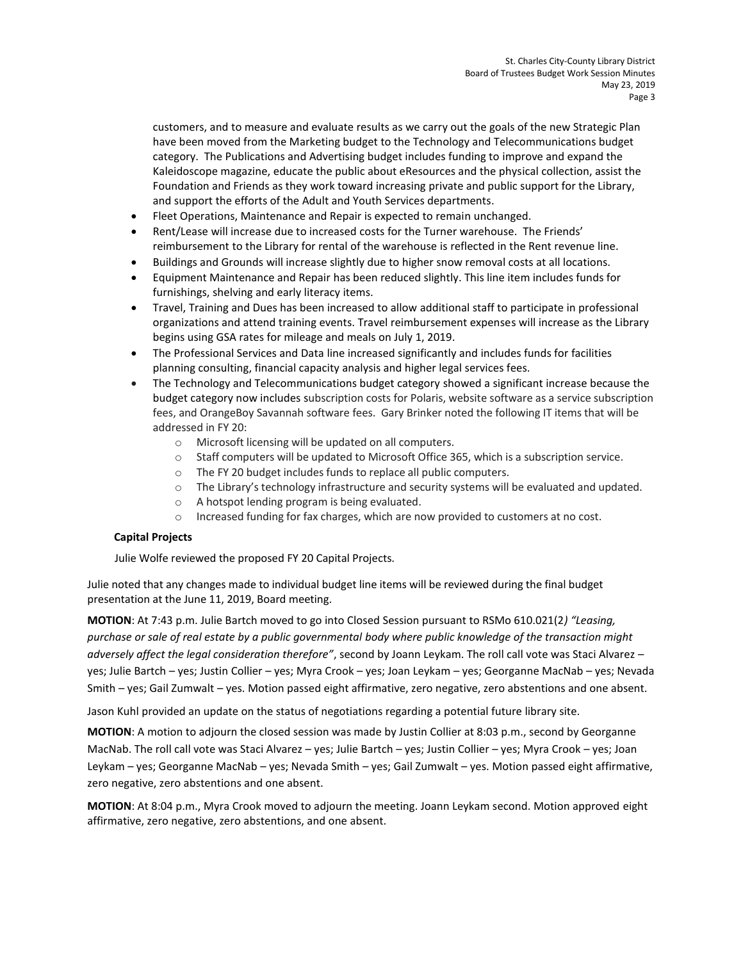customers, and to measure and evaluate results as we carry out the goals of the new Strategic Plan have been moved from the Marketing budget to the Technology and Telecommunications budget category. The Publications and Advertising budget includes funding to improve and expand the Kaleidoscope magazine, educate the public about eResources and the physical collection, assist the Foundation and Friends as they work toward increasing private and public support for the Library, and support the efforts of the Adult and Youth Services departments.

- Fleet Operations, Maintenance and Repair is expected to remain unchanged.
- Rent/Lease will increase due to increased costs for the Turner warehouse. The Friends' reimbursement to the Library for rental of the warehouse is reflected in the Rent revenue line.
- Buildings and Grounds will increase slightly due to higher snow removal costs at all locations.
- Equipment Maintenance and Repair has been reduced slightly. This line item includes funds for furnishings, shelving and early literacy items.
- Travel, Training and Dues has been increased to allow additional staff to participate in professional organizations and attend training events. Travel reimbursement expenses will increase as the Library begins using GSA rates for mileage and meals on July 1, 2019.
- The Professional Services and Data line increased significantly and includes funds for facilities planning consulting, financial capacity analysis and higher legal services fees.
- The Technology and Telecommunications budget category showed a significant increase because the budget category now includes subscription costs for Polaris, website software as a service subscription fees, and OrangeBoy Savannah software fees. Gary Brinker noted the following IT items that will be addressed in FY 20:
	- o Microsoft licensing will be updated on all computers.
	- o Staff computers will be updated to Microsoft Office 365, which is a subscription service.
	- o The FY 20 budget includes funds to replace all public computers.
	- o The Library's technology infrastructure and security systems will be evaluated and updated.
	- o A hotspot lending program is being evaluated.
	- o Increased funding for fax charges, which are now provided to customers at no cost.

## **Capital Projects**

Julie Wolfe reviewed the proposed FY 20 Capital Projects.

Julie noted that any changes made to individual budget line items will be reviewed during the final budget presentation at the June 11, 2019, Board meeting.

**MOTION**: At 7:43 p.m. Julie Bartch moved to go into Closed Session pursuant to RSMo 610.021(2*) "Leasing, purchase or sale of real estate by a public governmental body where public knowledge of the transaction might adversely affect the legal consideration therefore"*, second by Joann Leykam. The roll call vote was Staci Alvarez – yes; Julie Bartch – yes; Justin Collier – yes; Myra Crook – yes; Joan Leykam – yes; Georganne MacNab – yes; Nevada Smith – yes; Gail Zumwalt – yes. Motion passed eight affirmative, zero negative, zero abstentions and one absent.

Jason Kuhl provided an update on the status of negotiations regarding a potential future library site.

**MOTION**: A motion to adjourn the closed session was made by Justin Collier at 8:03 p.m., second by Georganne MacNab. The roll call vote was Staci Alvarez – yes; Julie Bartch – yes; Justin Collier – yes; Myra Crook – yes; Joan Leykam – yes; Georganne MacNab – yes; Nevada Smith – yes; Gail Zumwalt – yes. Motion passed eight affirmative, zero negative, zero abstentions and one absent.

**MOTION**: At 8:04 p.m., Myra Crook moved to adjourn the meeting. Joann Leykam second. Motion approved eight affirmative, zero negative, zero abstentions, and one absent.